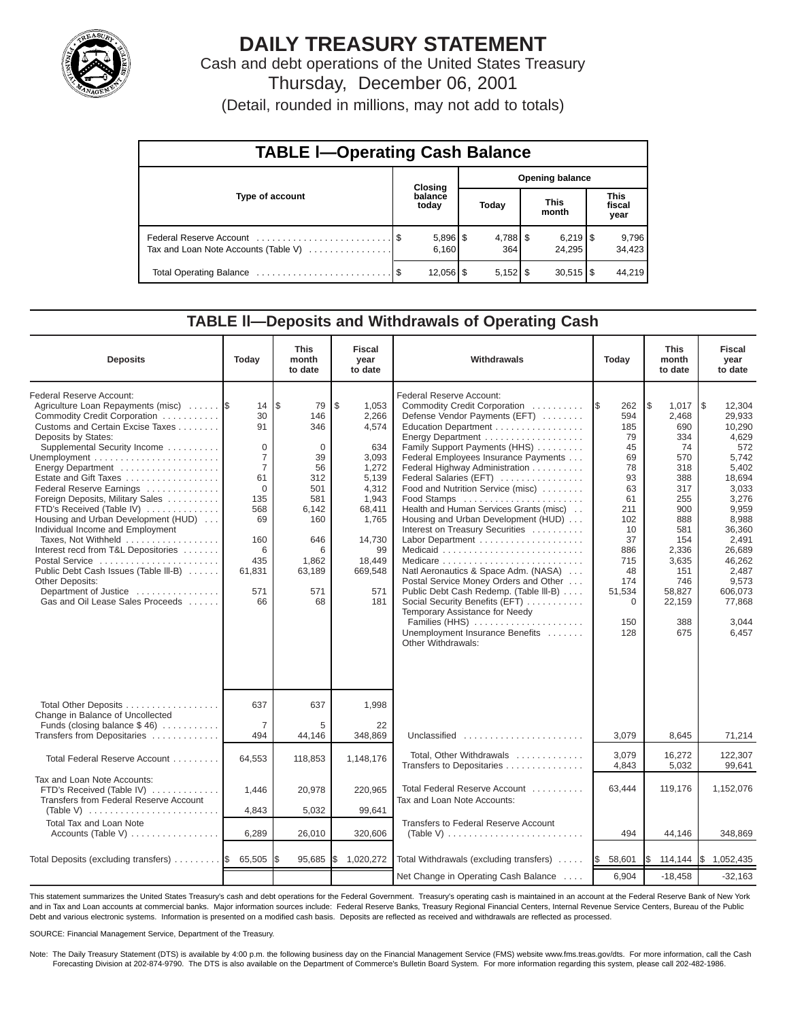

# **DAILY TREASURY STATEMENT**

Cash and debt operations of the United States Treasury Thursday, December 06, 2001

(Detail, rounded in millions, may not add to totals)

| <b>TABLE I-Operating Cash Balance</b> |  |                        |                        |                              |  |                        |  |                               |  |  |  |
|---------------------------------------|--|------------------------|------------------------|------------------------------|--|------------------------|--|-------------------------------|--|--|--|
|                                       |  | Closing                | <b>Opening balance</b> |                              |  |                        |  |                               |  |  |  |
| Type of account                       |  | balance<br>today       |                        | Today                        |  | <b>This</b><br>month   |  | <b>This</b><br>fiscal<br>year |  |  |  |
| Tax and Loan Note Accounts (Table V)  |  | $5,896$ \ \$<br>6.160  |                        | $4,788$ $\frac{8}{3}$<br>364 |  | 24.295                 |  | 9,796<br>34,423               |  |  |  |
|                                       |  | $12,056$ $\frac{1}{3}$ |                        | $5,152$ $\frac{1}{3}$        |  | $30,515$ $\frac{1}{3}$ |  | 44.219                        |  |  |  |

#### **TABLE ll—Deposits and Withdrawals of Operating Cash**

| <b>Deposits</b>                                                                                                                                                                                                                                                                                                                                                                                                                                                                                                                                                                                                                 | Today                                                                                                                                          | <b>This</b><br>month<br>to date                                                                                                  | <b>Fiscal</b><br>year<br>to date                                                                                                                        | Withdrawals                                                                                                                                                                                                                                                                                                                                                                                                                                                                                                                                                                                                                                                                                                                                        | Today                                                                                                                                                             | <b>This</b><br>month<br>to date                                                                                                                                            | <b>Fiscal</b><br>year<br>to date                                                                                                                                                                                              |
|---------------------------------------------------------------------------------------------------------------------------------------------------------------------------------------------------------------------------------------------------------------------------------------------------------------------------------------------------------------------------------------------------------------------------------------------------------------------------------------------------------------------------------------------------------------------------------------------------------------------------------|------------------------------------------------------------------------------------------------------------------------------------------------|----------------------------------------------------------------------------------------------------------------------------------|---------------------------------------------------------------------------------------------------------------------------------------------------------|----------------------------------------------------------------------------------------------------------------------------------------------------------------------------------------------------------------------------------------------------------------------------------------------------------------------------------------------------------------------------------------------------------------------------------------------------------------------------------------------------------------------------------------------------------------------------------------------------------------------------------------------------------------------------------------------------------------------------------------------------|-------------------------------------------------------------------------------------------------------------------------------------------------------------------|----------------------------------------------------------------------------------------------------------------------------------------------------------------------------|-------------------------------------------------------------------------------------------------------------------------------------------------------------------------------------------------------------------------------|
| Federal Reserve Account:<br>Agriculture Loan Repayments (misc)<br>Commodity Credit Corporation<br>Customs and Certain Excise Taxes<br>Deposits by States:<br>Supplemental Security Income<br>Energy Department<br>Estate and Gift Taxes<br>Federal Reserve Earnings<br>Foreign Deposits, Military Sales<br>FTD's Received (Table IV)<br>Housing and Urban Development (HUD)<br>Individual Income and Employment<br>Taxes, Not Withheld<br>Interest recd from T&L Depositories<br>Postal Service<br>Public Debt Cash Issues (Table III-B)<br><b>Other Deposits:</b><br>Department of Justice<br>Gas and Oil Lease Sales Proceeds | 14<br>30<br>91<br>$\Omega$<br>$\overline{7}$<br>$\overline{7}$<br>61<br>$\Omega$<br>135<br>568<br>69<br>160<br>6<br>435<br>61,831<br>571<br>66 | l\$<br>79<br>146<br>346<br>$\Omega$<br>39<br>56<br>312<br>501<br>581<br>6,142<br>160<br>646<br>6<br>1,862<br>63,189<br>571<br>68 | \$<br>1,053<br>2,266<br>4,574<br>634<br>3,093<br>1,272<br>5.139<br>4,312<br>1,943<br>68,411<br>1,765<br>14,730<br>99<br>18,449<br>669,548<br>571<br>181 | Federal Reserve Account:<br>Commodity Credit Corporation<br>Defense Vendor Payments (EFT)<br>Education Department<br>Energy Department<br>Family Support Payments (HHS)<br>Federal Employees Insurance Payments<br>Federal Highway Administration<br>Federal Salaries (EFT)<br>Food and Nutrition Service (misc)<br>Food Stamps<br>Health and Human Services Grants (misc)<br>Housing and Urban Development (HUD)<br>Interest on Treasury Securities<br>Labor Department<br>Natl Aeronautics & Space Adm. (NASA)<br>Postal Service Money Orders and Other<br>Public Debt Cash Redemp. (Table III-B)<br>Social Security Benefits (EFT)<br>Temporary Assistance for Needy<br>Families (HHS)<br>Unemployment Insurance Benefits<br>Other Withdrawals: | <b>IS</b><br>262<br>594<br>185<br>79<br>45<br>69<br>78<br>93<br>63<br>61<br>211<br>102<br>10<br>37<br>886<br>715<br>48<br>174<br>51,534<br>$\Omega$<br>150<br>128 | l\$<br>1,017<br>2,468<br>690<br>334<br>74<br>570<br>318<br>388<br>317<br>255<br>900<br>888<br>581<br>154<br>2,336<br>3,635<br>151<br>746<br>58,827<br>22,159<br>388<br>675 | $\overline{1s}$<br>12,304<br>29,933<br>10.290<br>4,629<br>572<br>5.742<br>5,402<br>18.694<br>3,033<br>3,276<br>9,959<br>8,988<br>36,360<br>2,491<br>26.689<br>46,262<br>2.487<br>9,573<br>606,073<br>77,868<br>3,044<br>6,457 |
| Total Other Deposits<br>Change in Balance of Uncollected<br>Funds (closing balance $$46$ )                                                                                                                                                                                                                                                                                                                                                                                                                                                                                                                                      | 637<br>$\overline{7}$                                                                                                                          | 637<br>5                                                                                                                         | 1,998<br>22                                                                                                                                             |                                                                                                                                                                                                                                                                                                                                                                                                                                                                                                                                                                                                                                                                                                                                                    |                                                                                                                                                                   |                                                                                                                                                                            |                                                                                                                                                                                                                               |
| Transfers from Depositaries                                                                                                                                                                                                                                                                                                                                                                                                                                                                                                                                                                                                     | 494                                                                                                                                            | 44,146                                                                                                                           | 348,869                                                                                                                                                 | Unclassified                                                                                                                                                                                                                                                                                                                                                                                                                                                                                                                                                                                                                                                                                                                                       | 3,079                                                                                                                                                             | 8,645                                                                                                                                                                      | 71,214                                                                                                                                                                                                                        |
| Total Federal Reserve Account                                                                                                                                                                                                                                                                                                                                                                                                                                                                                                                                                                                                   | 64,553                                                                                                                                         | 118,853                                                                                                                          | 1,148,176                                                                                                                                               | Total, Other Withdrawals<br>Transfers to Depositaries                                                                                                                                                                                                                                                                                                                                                                                                                                                                                                                                                                                                                                                                                              | 3,079<br>4,843                                                                                                                                                    | 16,272<br>5,032                                                                                                                                                            | 122,307<br>99,641                                                                                                                                                                                                             |
| Tax and Loan Note Accounts:<br>FTD's Received (Table IV)<br>Transfers from Federal Reserve Account<br>(Table V) $\ldots \ldots \ldots \ldots \ldots \ldots \ldots \ldots$                                                                                                                                                                                                                                                                                                                                                                                                                                                       | 1,446<br>4,843                                                                                                                                 | 20,978<br>5,032                                                                                                                  | 220,965<br>99,641                                                                                                                                       | Total Federal Reserve Account<br>Tax and Loan Note Accounts:                                                                                                                                                                                                                                                                                                                                                                                                                                                                                                                                                                                                                                                                                       | 63,444                                                                                                                                                            | 119,176                                                                                                                                                                    | 1,152,076                                                                                                                                                                                                                     |
| <b>Total Tax and Loan Note</b><br>Accounts (Table V)                                                                                                                                                                                                                                                                                                                                                                                                                                                                                                                                                                            | 6,289                                                                                                                                          | 26,010                                                                                                                           | 320,606                                                                                                                                                 | Transfers to Federal Reserve Account<br>(Table V) $\ldots \ldots \ldots \ldots \ldots \ldots \ldots \ldots$                                                                                                                                                                                                                                                                                                                                                                                                                                                                                                                                                                                                                                        | 494                                                                                                                                                               | 44,146                                                                                                                                                                     | 348,869                                                                                                                                                                                                                       |
|                                                                                                                                                                                                                                                                                                                                                                                                                                                                                                                                                                                                                                 |                                                                                                                                                |                                                                                                                                  |                                                                                                                                                         |                                                                                                                                                                                                                                                                                                                                                                                                                                                                                                                                                                                                                                                                                                                                                    |                                                                                                                                                                   |                                                                                                                                                                            |                                                                                                                                                                                                                               |
| Total Deposits (excluding transfers) $\ldots \ldots \ldots$                                                                                                                                                                                                                                                                                                                                                                                                                                                                                                                                                                     | 65,505                                                                                                                                         | 95,685                                                                                                                           | l\$<br>1,020,272                                                                                                                                        | Total Withdrawals (excluding transfers)<br>Net Change in Operating Cash Balance                                                                                                                                                                                                                                                                                                                                                                                                                                                                                                                                                                                                                                                                    | 58,601<br>I\$<br>6,904                                                                                                                                            | 114,144<br>$-18,458$                                                                                                                                                       | 1,052,435<br>I\$<br>$-32,163$                                                                                                                                                                                                 |
|                                                                                                                                                                                                                                                                                                                                                                                                                                                                                                                                                                                                                                 |                                                                                                                                                |                                                                                                                                  |                                                                                                                                                         |                                                                                                                                                                                                                                                                                                                                                                                                                                                                                                                                                                                                                                                                                                                                                    |                                                                                                                                                                   |                                                                                                                                                                            |                                                                                                                                                                                                                               |

This statement summarizes the United States Treasury's cash and debt operations for the Federal Government. Treasury's operating cash is maintained in an account at the Federal Reserve Bank of New York and in Tax and Loan accounts at commercial banks. Major information sources include: Federal Reserve Banks, Treasury Regional Financial Centers, Internal Revenue Service Centers, Bureau of the Public Debt and various electronic systems. Information is presented on a modified cash basis. Deposits are reflected as received and withdrawals are reflected as processed.

SOURCE: Financial Management Service, Department of the Treasury.

Note: The Daily Treasury Statement (DTS) is available by 4:00 p.m. the following business day on the Financial Management Service (FMS) website www.fms.treas.gov/dts. For more information, call the Cash Forecasting Division at 202-874-9790. The DTS is also available on the Department of Commerce's Bulletin Board System. For more information regarding this system, please call 202-482-1986.